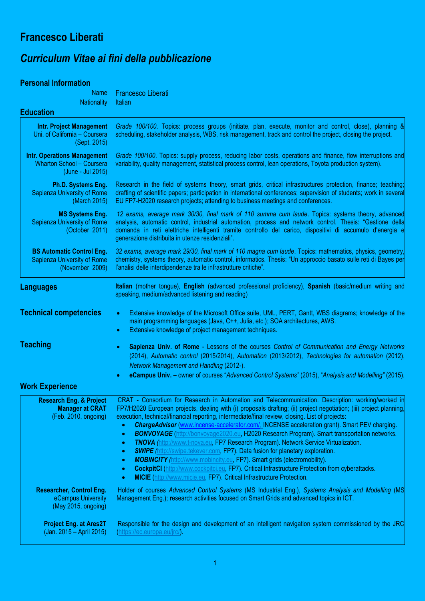## **Francesco Liberati**

## *Curriculum Vitae ai fini della pubblicazione*

## **Personal Information**

| <b>Name</b><br><b>Nationality</b>                                                           | <b>Francesco Liberati</b><br>Italian                                                                                                                                                                                                                                                                                                                                                                                                                                                                                                                                                                                                                                                                                                                                                                                                                                                                                                                                                                                                                                                              |
|---------------------------------------------------------------------------------------------|---------------------------------------------------------------------------------------------------------------------------------------------------------------------------------------------------------------------------------------------------------------------------------------------------------------------------------------------------------------------------------------------------------------------------------------------------------------------------------------------------------------------------------------------------------------------------------------------------------------------------------------------------------------------------------------------------------------------------------------------------------------------------------------------------------------------------------------------------------------------------------------------------------------------------------------------------------------------------------------------------------------------------------------------------------------------------------------------------|
| <b>Education</b>                                                                            |                                                                                                                                                                                                                                                                                                                                                                                                                                                                                                                                                                                                                                                                                                                                                                                                                                                                                                                                                                                                                                                                                                   |
| <b>Intr. Project Management</b><br>Uni. of California - Coursera<br>(Sept. 2015)            | Grade 100/100. Topics: process groups (initiate, plan, execute, monitor and control, close), planning &<br>scheduling, stakeholder analysis, WBS, risk management, track and control the project, closing the project.                                                                                                                                                                                                                                                                                                                                                                                                                                                                                                                                                                                                                                                                                                                                                                                                                                                                            |
| <b>Intr. Operations Management</b><br><b>Wharton School - Coursera</b><br>(June - Jul 2015) | Grade 100/100. Topics: supply process, reducing labor costs, operations and finance, flow interruptions and<br>variability, quality management, statistical process control, lean operations, Toyota production system).                                                                                                                                                                                                                                                                                                                                                                                                                                                                                                                                                                                                                                                                                                                                                                                                                                                                          |
| Ph.D. Systems Eng.<br><b>Sapienza University of Rome</b><br>(March 2015)                    | Research in the field of systems theory, smart grids, critical infrastructures protection, finance; teaching;<br>drafting of scientific papers; participation in international conferences; supervision of students; work in several<br>EU FP7-H2020 research projects; attending to business meetings and conferences.                                                                                                                                                                                                                                                                                                                                                                                                                                                                                                                                                                                                                                                                                                                                                                           |
| <b>MS Systems Eng.</b><br>Sapienza University of Rome<br>(October 2011)                     | 12 exams, average mark 30/30, final mark of 110 summa cum laude. Topics: systems theory, advanced<br>analysis, automatic control, industrial automation, process and network control. Thesis: "Gestione della<br>domanda in reti elettriche intelligenti tramite controllo del carico, dispositivi di accumulo d'energia e<br>generazione distribuita in utenze residenziali".                                                                                                                                                                                                                                                                                                                                                                                                                                                                                                                                                                                                                                                                                                                    |
| <b>BS Automatic Control Eng.</b><br><b>Sapienza University of Rome</b><br>(November 2009)   | 32 exams, average mark 29/30, final mark of 110 magna cum laude. Topics: mathematics, physics, geometry,<br>chemistry, systems theory, automatic control, informatics. Thesis: "Un approccio basato sulle reti di Bayes per<br>l'analisi delle interdipendenze tra le infrastrutture critiche".                                                                                                                                                                                                                                                                                                                                                                                                                                                                                                                                                                                                                                                                                                                                                                                                   |
| <b>Languages</b>                                                                            | Italian (mother tongue), English (advanced professional proficiency), Spanish (basic/medium writing and<br>speaking, medium/advanced listening and reading)                                                                                                                                                                                                                                                                                                                                                                                                                                                                                                                                                                                                                                                                                                                                                                                                                                                                                                                                       |
| <b>Technical competencies</b>                                                               | Extensive knowledge of the Microsoft Office suite, UML, PERT, Gantt, WBS diagrams; knowledge of the<br>$\bullet$<br>main programming languages (Java, C++, Julia, etc.); SOA architectures, AWS.<br>Extensive knowledge of project management techniques.<br>$\bullet$                                                                                                                                                                                                                                                                                                                                                                                                                                                                                                                                                                                                                                                                                                                                                                                                                            |
| <b>Teaching</b>                                                                             | Sapienza Univ. of Rome - Lessons of the courses Control of Communication and Energy Networks<br>$\bullet$<br>(2014), Automatic control (2015/2014), Automation (2013/2012), Technologies for automation (2012),<br><b>Network Management and Handling (2012-).</b>                                                                                                                                                                                                                                                                                                                                                                                                                                                                                                                                                                                                                                                                                                                                                                                                                                |
| <b>Work Experience</b>                                                                      | eCampus Univ. - owner of courses "Advanced Control Systems" (2015), "Analysis and Modelling" (2015).                                                                                                                                                                                                                                                                                                                                                                                                                                                                                                                                                                                                                                                                                                                                                                                                                                                                                                                                                                                              |
| <b>Research Eng. &amp; Project</b><br><b>Manager at CRAT</b><br>(Feb. 2010, ongoing)        | CRAT - Consortium for Research in Automation and Telecommunication. Description: working/worked in<br>FP7/H2020 European projects, dealing with (i) proposals drafting; (ii) project negotiation; (iii) project planning,<br>execution, technical/financial reporting, intermediate/final review, closing. List of projects:<br>ChargeAdvisor (www.incense-accelerator.com/, INCENSE acceleration grant). Smart PEV charging.<br>$\bullet$<br><b>BONVOYAGE</b> (http://bonvoyage2020.eu, H2020 Research Program). Smart transportation networks.<br>$\bullet$<br><b>TNOVA</b> (http://www.t-nova.eu, FP7 Research Program). Network Service Virtualization.<br>$\bullet$<br><b>SWIPE</b> (http://swipe.tekever.com, FP7). Data fusion for planetary exploration.<br>$\bullet$<br><b>MOBINCITY</b> (http://www.mobincity.eu, FP7). Smart grids (electromobility).<br>$\bullet$<br><b>CockpitCI</b> (http://www.cockpitci.eu, FP7). Critical Infrastructure Protection from cyberattacks.<br>$\bullet$<br><b>MICIE</b> (http://www.micie.eu, FP7). Critical Infrastructure Protection.<br>$\bullet$ |
| <b>Researcher, Control Eng.</b><br>eCampus University<br>(May 2015, ongoing)                | Holder of courses Advanced Control Systems (MS Industrial Eng.), Systems Analysis and Modelling (MS<br>Management Eng.); research activities focused on Smart Grids and advanced topics in ICT.                                                                                                                                                                                                                                                                                                                                                                                                                                                                                                                                                                                                                                                                                                                                                                                                                                                                                                   |
| <b>Project Eng. at Ares2T</b><br>(Jan. 2015 – April 2015)                                   | Responsible for the design and development of an intelligent navigation system commissioned by the JRC<br>(https://ec.europa.eu/jrc/).                                                                                                                                                                                                                                                                                                                                                                                                                                                                                                                                                                                                                                                                                                                                                                                                                                                                                                                                                            |